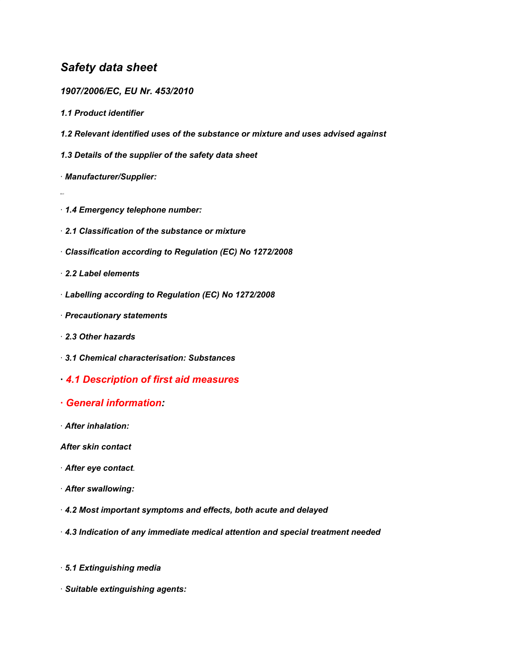# *Safety data sheet*

## *1907/2006/EC, EU Nr. 453/2010*

### *1.1 Product identifier*

*1.2 Relevant identified uses of the substance or mixture and uses advised against*

*1.3 Details of the supplier of the safety data sheet*

*· Manufacturer/Supplier:*

40.0

- *· 1.4 Emergency telephone number:*
- *· 2.1 Classification of the substance or mixture*
- *· Classification according to Regulation (EC) No 1272/2008*
- *· 2.2 Label elements*
- *· Labelling according to Regulation (EC) No 1272/2008*
- *· Precautionary statements*
- *· 2.3 Other hazards*
- *· 3.1 Chemical characterisation: Substances*
- *· 4.1 Description of first aid measures*
- *· General information:*
- *· After inhalation:*

*After skin contact*

- *· After eye contact.*
- *· After swallowing:*
- *· 4.2 Most important symptoms and effects, both acute and delayed*
- *· 4.3 Indication of any immediate medical attention and special treatment neededON 5:*
- *· 5.1 Extinguishing media*
- *· Suitable extinguishing agents:*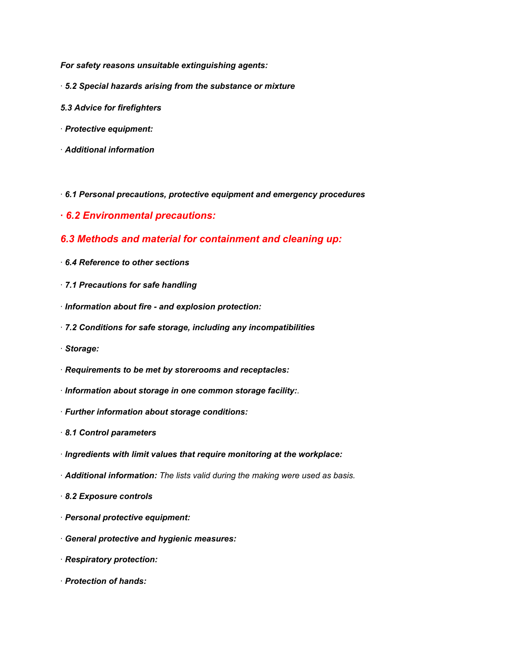*For safety reasons unsuitable extinguishing agents:*

- *· 5.2 Special hazards arising from the substance or mixture*
- *5.3 Advice for firefighters*
- *· Protective equipment:*
- *· Additional information*
- *· 6.1 Personal precautions, protective equipment and emergency procedures*
- *· 6.2 Environmental precautions:*

#### *6.3 Methods and material for containment and cleaning up:*

- $\cdot$  6.4 Reference to other sections
- *· 7.1 Precautions for safe handling*
- *· Information about fire - and explosion protection:*
- *· 7.2 Conditions for safe storage, including any incompatibilities*
- *· Storage:*
- *· Requirements to be met by storerooms and receptacles:*
- *· Information about storage in one common storage facility:.*
- *· Further information about storage conditions:*
- *· 8.1 Control parameters*
- *· Ingredients with limit values that require monitoring at the workplace:*
- *· Additional information: The lists valid during the making were used as basis.*
- *· 8.2 Exposure controls*
- *· Personal protective equipment:*
- *· General protective and hygienic measures:*
- *· Respiratory protection:*
- *· Protection of hands:*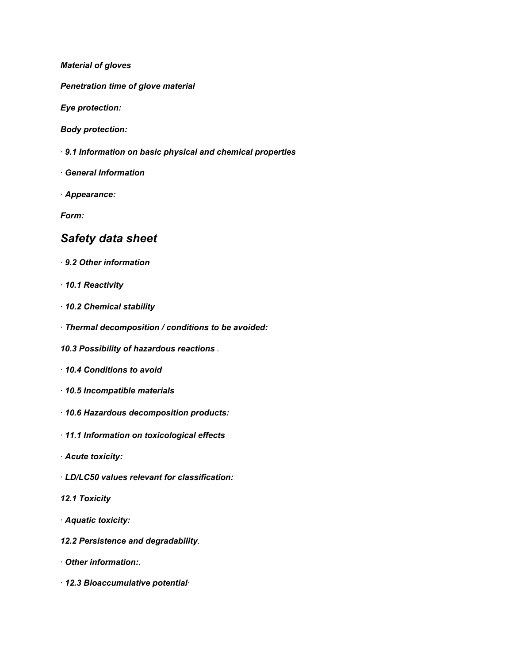*Material of gloves*

*Penetration time of glove material*

*Eye protection:*

- **Body** protection:
- *· 9.1 Information on basic physical and chemical properties*
- *· General Information*
- *· Appearance:*

*Form:*

## *Safety data sheet*

- **·** 9.2 Other information
- *· 10.1 Reactivity*
- *· 10.2 Chemical stability*
- *· Thermal decomposition / conditions to be avoided:*
- *10.3 Possibility of hazardous reactions .*
- *· 10.4 Conditions to avoid*
- *· 10.5 Incompatible materials*
- *·* **10.6 Hazardous decomposition products:**
- *· 11.1 Information on toxicological effects*
- *· Acute toxicity:*
- *· LD/LC50 values relevant for classification:*
- *12.1 Toxicity*
- *· Aquatic toxicity:*
- *12.2 Persistence and degradability.*
- *· Other information:.*
- *· 12.3 Bioaccumulative potential·*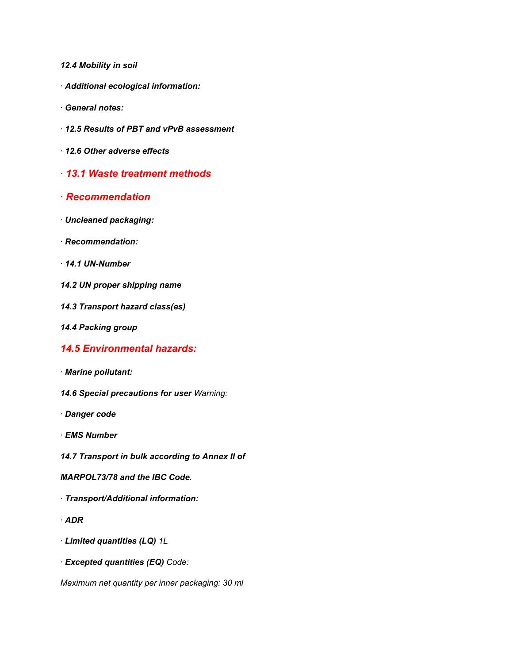*12.4 Mobility in soil*

- *· Additional ecological information:*
- *· General notes:*
- *· 12.5 Results of PBT and vPvB assessment*
- *<i>\** 12.6 Other adverse effects
- *· 13.1 Waste treatment methods*
- *· Recommendation*
- *· Uncleaned packaging:*
- *· Recommendation: ation*
- *· 14.1 UN-Number*
- *14.2 UN proper shipping name*
- *14.3 Transport hazard class(es)*
- *14.4 Packing group*

## *14.5 Environmental hazards:*

- *· Marine pollutant:*
- *14.6 Special precautions for user Warning:*
- *· Danger code*
- *· EMS Number*
- *14.7 Transport in bulk according to Annex II of*
- *MARPOL73/78 and the IBC Code.*
- *· Transport/Additional information:*
- *· ADR*
- *· Limited quantities (LQ) 1L*
- *· Excepted quantities (EQ) Code:*

*Maximum net quantity per inner packaging: 30 ml*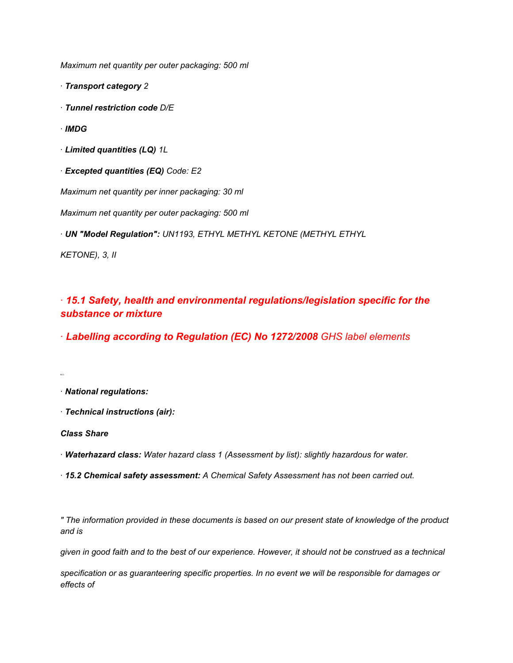*Maximum net quantity per outer packaging: 500 ml*

- *· Transport category 2*
- *· Tunnel restriction code D/E*
- *· IMDG*
- *· Limited quantities (LQ) 1L*
- *· Excepted quantities (EQ) Code: E2*

*Maximum net quantity per inner packaging: 30 ml*

*Maximum net quantity per outer packaging: 500 ml*

*· UN "Model Regulation": UN1193, ETHYL METHYL KETONE (METHYL ETHYL*

*KETONE), 3, II*

*· 15.1 Safety, health and environmental regulations/legislation specific for the substance or mixture*

*· Labelling according to Regulation (EC) No 1272/2008 GHS label elements*

*· National regulations:*

*· Technical instructions (air):*

*Class Share*

40.0

*· Waterhazard class: Water hazard class 1 (Assessment by list): slightly hazardous for water.*

*· 15.2 Chemical safety assessment: A Chemical Safety Assessment has not been carried out.*

" The information provided in these documents is based on our present state of knowledge of the product *and is*

given in good faith and to the best of our experience. However, it should not be construed as a technical

*specification or as guaranteering specific properties. In no event we will be responsible for damages or effects of*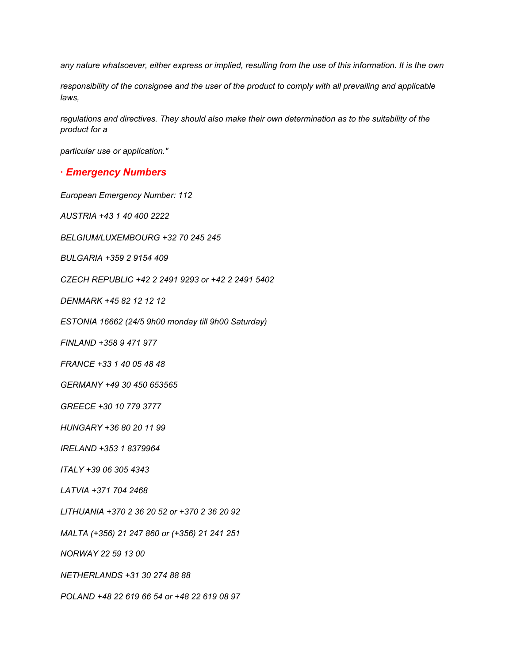any nature whatsoever, either express or implied, resulting from the use of this information. It is the own

*responsibility of the consignee and the user of the product to comply with all prevailing and applicable laws,*

*regulations and directives. They should also make their own determination as to the suitability of the product for a*

*particular use or application."*

*· Emergency Numbers*

*European Emergency Number: 112*

*AUSTRIA +43 1 40 400 2222*

*BELGIUM/LUXEMBOURG +32 70 245 245*

*BULGARIA +359 2 9154 409*

*CZECH REPUBLIC +42 2 2491 9293 or +42 2 2491 5402*

*DENMARK +45 82 12 12 12*

*ESTONIA 16662 (24/5 9h00 monday till 9h00 Saturday)*

*FINLAND +358 9 471 977*

*FRANCE +33 1 40 05 48 48*

*GERMANY +49 30 450 653565*

*GREECE +30 10 779 3777*

*HUNGARY +36 80 20 11 99*

*IRELAND +353 1 8379964*

*ITALY +39 06 305 4343*

*LATVIA +371 704 2468*

*LITHUANIA +370 2 36 20 52 or +370 2 36 20 92*

*MALTA (+356) 21 247 860 or (+356) 21 241 251*

*NORWAY 22 59 13 00*

*NETHERLANDS +31 30 274 88 88*

*POLAND +48 22 619 66 54 or +48 22 619 08 97*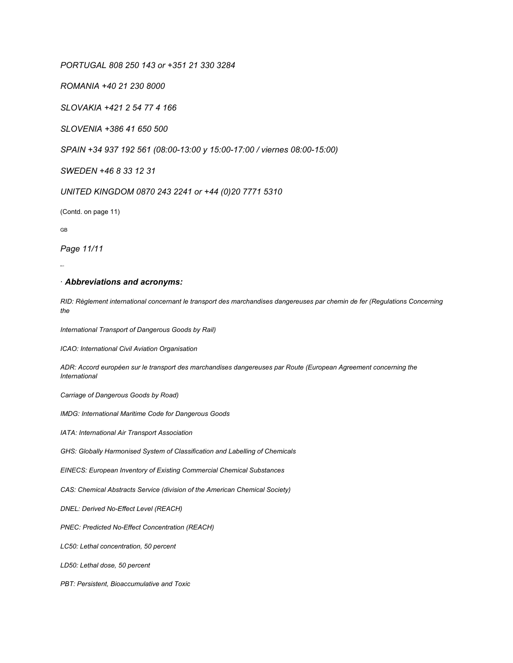*PORTUGAL 808 250 143 or +351 21 330 3284*

*ROMANIA +40 21 230 8000*

*SLOVAKIA +421 2 54 77 4 166*

*SLOVENIA +386 41 650 500*

*SPAIN +34 937 192 561 (08:00-13:00 y 15:00-17:00 / viernes 08:00-15:00)*

*SWEDEN +46 8 33 12 31*

*UNITED KINGDOM 0870 243 2241 or +44 (0)20 7771 5310*

(Contd. on page 11)

GB

*Page 11/11*

40.0

#### *· Abbreviations and acronyms:*

RID: Règlement international concernant le transport des marchandises dangereuses par chemin de fer (Regulations Concerning *the*

*International Transport of Dangerous Goods by Rail)*

*ICAO: International Civil Aviation Organisation*

*ADR: Accord européen sur le transport des marchandises dangereuses par Route (European Agreement concerning the International*

*Carriage of Dangerous Goods by Road)*

*IMDG: International Maritime Code for Dangerous Goods*

*IATA: International Air Transport Association*

*GHS: Globally Harmonised System of Classification and Labelling of Chemicals*

*EINECS: European Inventory of Existing Commercial Chemical Substances*

*CAS: Chemical Abstracts Service (division of the American Chemical Society)*

*DNEL: Derived No-Effect Level (REACH)*

*PNEC: Predicted No-Effect Concentration (REACH)*

*LC50: Lethal concentration, 50 percent*

*LD50: Lethal dose, 50 percent*

*PBT: Persistent, Bioaccumulative and Toxic*